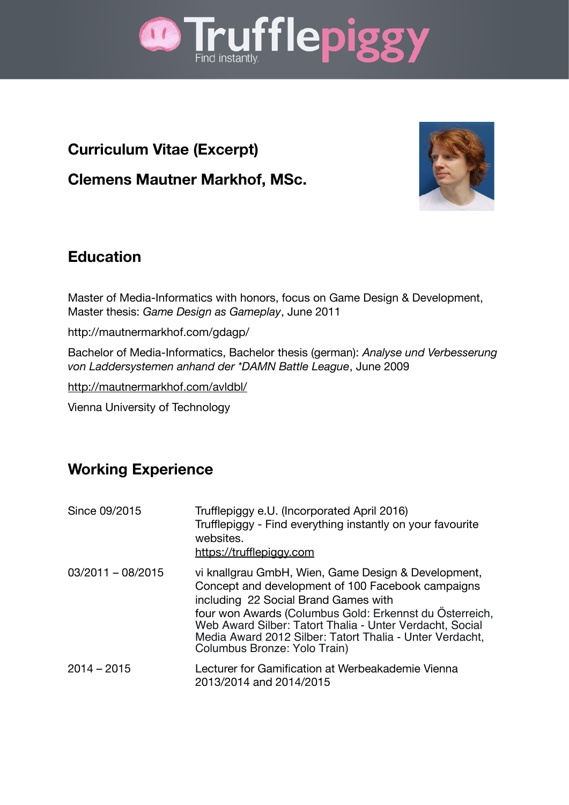

## **Curriculum Vitae (Excerpt)**

**Clemens Mautner Markhof, MSc.**



### **Education**

Master of Media-Informatics with honors, focus on Game Design & Development, Master thesis: *Game Design as Gameplay*, June 2011

<http://mautnermarkhof.com/gdagp/>

Bachelor of Media-Informatics, Bachelor thesis (german): *Analyse und Verbesserung von Laddersystemen anhand der \*DAMN Battle League*, June 2009

<http://mautnermarkhof.com/avldbl/>

Vienna University of Technology

#### **Working Experience**

| Since 09/2015       | Trufflepiggy e.U. (Incorporated April 2016)<br>Trufflepiggy - Find everything instantly on your favourite<br>websites.<br>https://trufflepiggy.com                                                                                                                                                                                                                  |
|---------------------|---------------------------------------------------------------------------------------------------------------------------------------------------------------------------------------------------------------------------------------------------------------------------------------------------------------------------------------------------------------------|
| $03/2011 - 08/2015$ | vi knallgrau GmbH, Wien, Game Design & Development,<br>Concept and development of 100 Facebook campaigns<br>including 22 Social Brand Games with<br>four won Awards (Columbus Gold: Erkennst du Österreich,<br>Web Award Silber: Tatort Thalia - Unter Verdacht, Social<br>Media Award 2012 Silber: Tatort Thalia - Unter Verdacht,<br>Columbus Bronze: Yolo Train) |
| $2014 - 2015$       | Lecturer for Gamification at Werbeakademie Vienna<br>2013/2014 and 2014/2015                                                                                                                                                                                                                                                                                        |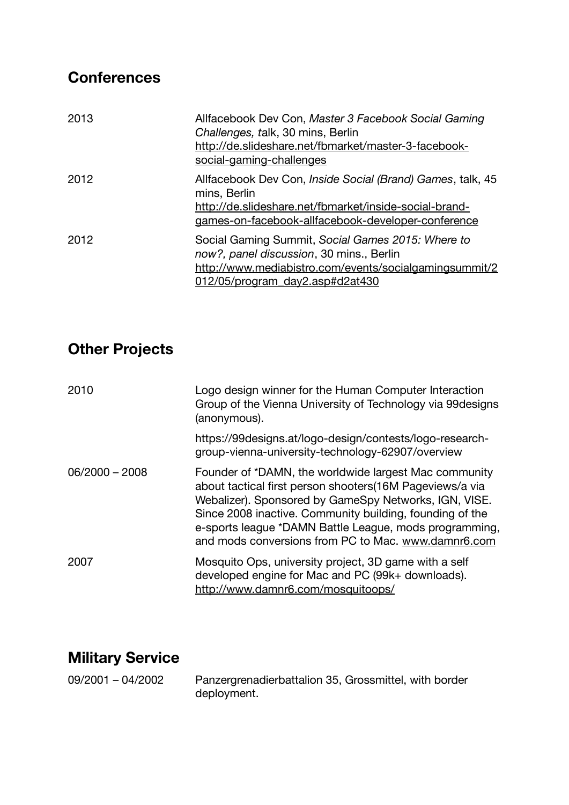# **Conferences**

| 2013 | Allfacebook Dev Con, Master 3 Facebook Social Gaming<br>Challenges, talk, 30 mins, Berlin<br>http://de.slideshare.net/fbmarket/master-3-facebook-<br>social-gaming-challenges              |
|------|--------------------------------------------------------------------------------------------------------------------------------------------------------------------------------------------|
| 2012 | Allfacebook Dev Con, Inside Social (Brand) Games, talk, 45<br>mins, Berlin<br>http://de.slideshare.net/fbmarket/inside-social-brand-<br>games-on-facebook-allfacebook-developer-conference |
| 2012 | Social Gaming Summit, Social Games 2015: Where to<br>now?, panel discussion, 30 mins., Berlin<br>http://www.mediabistro.com/events/socialgamingsummit/2<br>012/05/program_day2.asp#d2at430 |

## **Other Projects**

| 2010             | Logo design winner for the Human Computer Interaction<br>Group of the Vienna University of Technology via 99 designs<br>(anonymous).                                                                                                                                                                                                                    |
|------------------|---------------------------------------------------------------------------------------------------------------------------------------------------------------------------------------------------------------------------------------------------------------------------------------------------------------------------------------------------------|
|                  | https://99designs.at/logo-design/contests/logo-research-<br>group-vienna-university-technology-62907/overview                                                                                                                                                                                                                                           |
| $06/2000 - 2008$ | Founder of *DAMN, the worldwide largest Mac community<br>about tactical first person shooters(16M Pageviews/a via<br>Webalizer). Sponsored by GameSpy Networks, IGN, VISE.<br>Since 2008 inactive. Community building, founding of the<br>e-sports league *DAMN Battle League, mods programming,<br>and mods conversions from PC to Mac. www.damnr6.com |
| 2007             | Mosquito Ops, university project, 3D game with a self<br>developed engine for Mac and PC (99k+ downloads).<br>http://www.damnr6.com/mosquitoops/                                                                                                                                                                                                        |

# **Military Service**

09/2001 – 04/2002 Panzergrenadierbattalion 35, Grossmittel, with border deployment.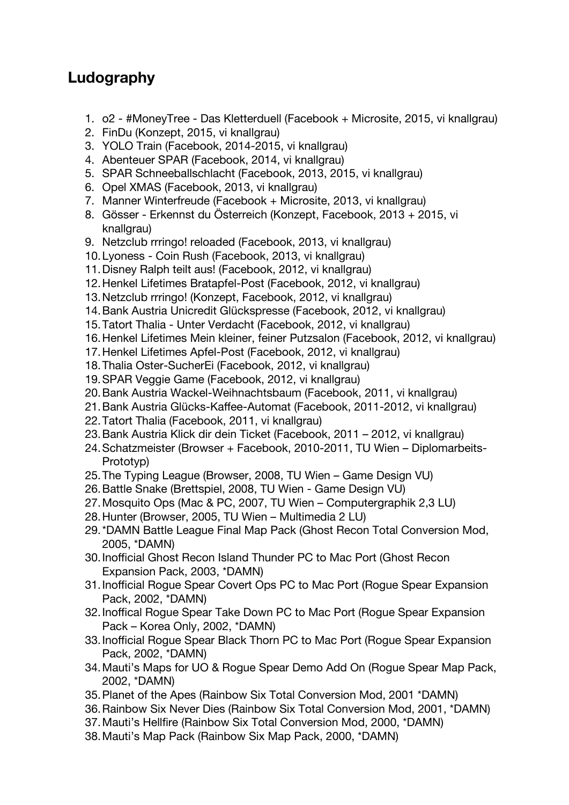#### **Ludography**

- 1. o2 #MoneyTree Das Kletterduell (Facebook + Microsite, 2015, vi knallgrau)
- 2. FinDu (Konzept, 2015, vi knallgrau)
- 3. YOLO Train (Facebook, 2014-2015, vi knallgrau)
- 4. Abenteuer SPAR (Facebook, 2014, vi knallgrau)
- 5. SPAR Schneeballschlacht (Facebook, 2013, 2015, vi knallgrau)
- 6. Opel XMAS (Facebook, 2013, vi knallgrau)
- 7. Manner Winterfreude (Facebook + Microsite, 2013, vi knallgrau)
- 8. Gösser Erkennst du Österreich (Konzept, Facebook, 2013 + 2015, vi knallgrau)
- 9. Netzclub rrringo! reloaded (Facebook, 2013, vi knallgrau)
- 10.Lyoness Coin Rush (Facebook, 2013, vi knallgrau)
- 11.Disney Ralph teilt aus! (Facebook, 2012, vi knallgrau)
- 12.Henkel Lifetimes Bratapfel-Post (Facebook, 2012, vi knallgrau)
- 13.Netzclub rrringo! (Konzept, Facebook, 2012, vi knallgrau)
- 14.Bank Austria Unicredit Glückspresse (Facebook, 2012, vi knallgrau)
- 15.Tatort Thalia Unter Verdacht (Facebook, 2012, vi knallgrau)
- 16.Henkel Lifetimes Mein kleiner, feiner Putzsalon (Facebook, 2012, vi knallgrau)
- 17.Henkel Lifetimes Apfel-Post (Facebook, 2012, vi knallgrau)
- 18.Thalia Oster-SucherEi (Facebook, 2012, vi knallgrau)
- 19.SPAR Veggie Game (Facebook, 2012, vi knallgrau)
- 20.Bank Austria Wackel-Weihnachtsbaum (Facebook, 2011, vi knallgrau)
- 21.Bank Austria Glücks-Kafee-Automat (Facebook, 2011-2012, vi knallgrau)
- 22.Tatort Thalia (Facebook, 2011, vi knallgrau)
- 23.Bank Austria Klick dir dein Ticket (Facebook, 2011 2012, vi knallgrau)
- 24.Schatzmeister (Browser + Facebook, 2010-2011, TU Wien Diplomarbeits-Prototyp)
- 25.The Typing League (Browser, 2008, TU Wien Game Design VU)
- 26.Battle Snake (Brettspiel, 2008, TU Wien Game Design VU)
- 27.Mosquito Ops (Mac & PC, 2007, TU Wien Computergraphik 2,3 LU)
- 28.Hunter (Browser, 2005, TU Wien Multimedia 2 LU)
- 29.\*DAMN Battle League Final Map Pack (Ghost Recon Total Conversion Mod, 2005, \*DAMN)
- 30. Inofficial Ghost Recon Island Thunder PC to Mac Port (Ghost Recon Expansion Pack, 2003, \*DAMN)
- 31. Inofficial Rogue Spear Covert Ops PC to Mac Port (Rogue Spear Expansion Pack, 2002, \*DAMN)
- 32. Inoffical Roque Spear Take Down PC to Mac Port (Roque Spear Expansion Pack – Korea Only, 2002, \*DAMN)
- 33. Inofficial Rogue Spear Black Thorn PC to Mac Port (Rogue Spear Expansion Pack, 2002, \*DAMN)
- 34.Mauti's Maps for UO & Rogue Spear Demo Add On (Rogue Spear Map Pack, 2002, \*DAMN)
- 35.Planet of the Apes (Rainbow Six Total Conversion Mod, 2001 \*DAMN)
- 36.Rainbow Six Never Dies (Rainbow Six Total Conversion Mod, 2001, \*DAMN)
- 37.Mauti's Hellfire (Rainbow Six Total Conversion Mod, 2000, \*DAMN)
- 38.Mauti's Map Pack (Rainbow Six Map Pack, 2000, \*DAMN)